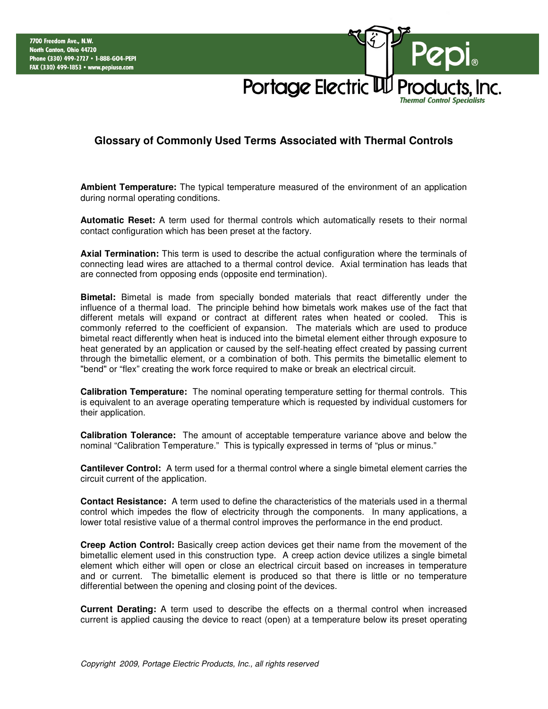

## **Glossary of Commonly Used Terms Associated with Thermal Controls**

**Ambient Temperature:** The typical temperature measured of the environment of an application during normal operating conditions.

**Automatic Reset:** A term used for thermal controls which automatically resets to their normal contact configuration which has been preset at the factory.

**Axial Termination:** This term is used to describe the actual configuration where the terminals of connecting lead wires are attached to a thermal control device. Axial termination has leads that are connected from opposing ends (opposite end termination).

**Bimetal:** Bimetal is made from specially bonded materials that react differently under the influence of a thermal load. The principle behind how bimetals work makes use of the fact that different metals will expand or contract at different rates when heated or cooled. This is commonly referred to the coefficient of expansion. The materials which are used to produce bimetal react differently when heat is induced into the bimetal element either through exposure to heat generated by an application or caused by the self-heating effect created by passing current through the bimetallic element, or a combination of both. This permits the bimetallic element to "bend" or "flex" creating the work force required to make or break an electrical circuit.

**Calibration Temperature:** The nominal operating temperature setting for thermal controls. This is equivalent to an average operating temperature which is requested by individual customers for their application.

**Calibration Tolerance:** The amount of acceptable temperature variance above and below the nominal "Calibration Temperature." This is typically expressed in terms of "plus or minus."

**Cantilever Control:** A term used for a thermal control where a single bimetal element carries the circuit current of the application.

**Contact Resistance:** A term used to define the characteristics of the materials used in a thermal control which impedes the flow of electricity through the components. In many applications, a lower total resistive value of a thermal control improves the performance in the end product.

**Creep Action Control:** Basically creep action devices get their name from the movement of the bimetallic element used in this construction type. A creep action device utilizes a single bimetal element which either will open or close an electrical circuit based on increases in temperature and or current. The bimetallic element is produced so that there is little or no temperature differential between the opening and closing point of the devices.

**Current Derating:** A term used to describe the effects on a thermal control when increased current is applied causing the device to react (open) at a temperature below its preset operating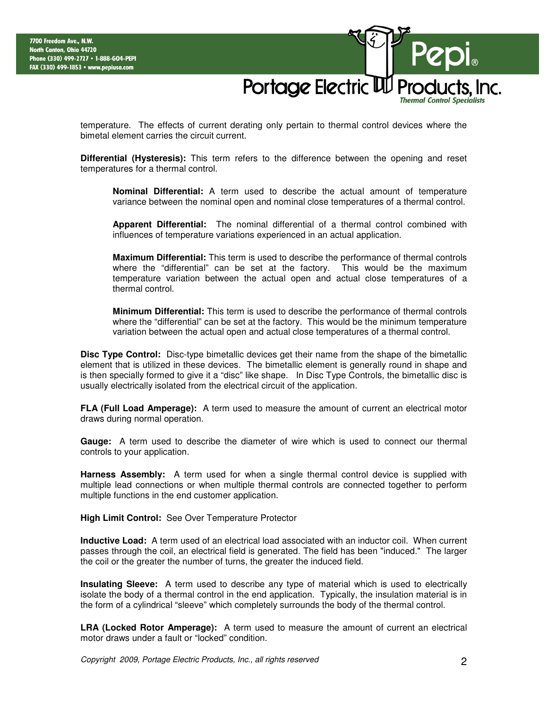Portage Electric UU Pi **Thermal Control Specialists** 

temperature. The effects of current derating only pertain to thermal control devices where the bimetal element carries the circuit current.

**Differential (Hysteresis):** This term refers to the difference between the opening and reset temperatures for a thermal control.

**Nominal Differential:** A term used to describe the actual amount of temperature variance between the nominal open and nominal close temperatures of a thermal control.

**Apparent Differential:** The nominal differential of a thermal control combined with influences of temperature variations experienced in an actual application.

**Maximum Differential:** This term is used to describe the performance of thermal controls where the "differential" can be set at the factory. This would be the maximum temperature variation between the actual open and actual close temperatures of a thermal control.

**Minimum Differential:** This term is used to describe the performance of thermal controls where the "differential" can be set at the factory. This would be the minimum temperature variation between the actual open and actual close temperatures of a thermal control.

**Disc Type Control:** Disc-type bimetallic devices get their name from the shape of the bimetallic element that is utilized in these devices. The bimetallic element is generally round in shape and is then specially formed to give it a "disc" like shape. In Disc Type Controls, the bimetallic disc is usually electrically isolated from the electrical circuit of the application.

**FLA (Full Load Amperage):** A term used to measure the amount of current an electrical motor draws during normal operation.

**Gauge:** A term used to describe the diameter of wire which is used to connect our thermal controls to your application.

**Harness Assembly:** A term used for when a single thermal control device is supplied with multiple lead connections or when multiple thermal controls are connected together to perform multiple functions in the end customer application.

**High Limit Control:** See Over Temperature Protector

**Inductive Load:** A term used of an electrical load associated with an inductor coil. When current passes through the coil, an electrical field is generated. The field has been "induced." The larger the coil or the greater the number of turns, the greater the induced field.

**Insulating Sleeve:** A term used to describe any type of material which is used to electrically isolate the body of a thermal control in the end application. Typically, the insulation material is in the form of a cylindrical "sleeve" which completely surrounds the body of the thermal control.

**LRA (Locked Rotor Amperage):** A term used to measure the amount of current an electrical motor draws under a fault or "locked" condition.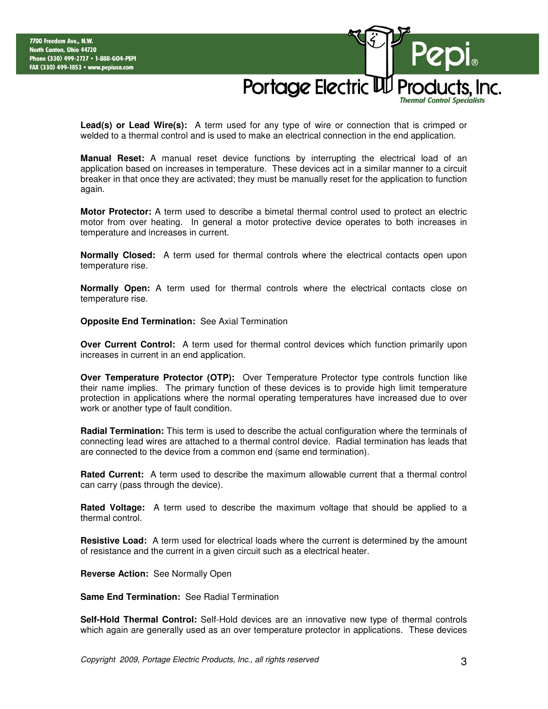Portage Electric UU Prod **Thermal Control Specialists** 

**Lead(s) or Lead Wire(s):** A term used for any type of wire or connection that is crimped or welded to a thermal control and is used to make an electrical connection in the end application.

**Manual Reset:** A manual reset device functions by interrupting the electrical load of an application based on increases in temperature. These devices act in a similar manner to a circuit breaker in that once they are activated; they must be manually reset for the application to function again.

**Motor Protector:** A term used to describe a bimetal thermal control used to protect an electric motor from over heating. In general a motor protective device operates to both increases in temperature and increases in current.

**Normally Closed:** A term used for thermal controls where the electrical contacts open upon temperature rise.

**Normally Open:** A term used for thermal controls where the electrical contacts close on temperature rise.

**Opposite End Termination:** See Axial Termination

**Over Current Control:** A term used for thermal control devices which function primarily upon increases in current in an end application.

**Over Temperature Protector (OTP):** Over Temperature Protector type controls function like their name implies. The primary function of these devices is to provide high limit temperature protection in applications where the normal operating temperatures have increased due to over work or another type of fault condition.

**Radial Termination:** This term is used to describe the actual configuration where the terminals of connecting lead wires are attached to a thermal control device. Radial termination has leads that are connected to the device from a common end (same end termination).

**Rated Current:** A term used to describe the maximum allowable current that a thermal control can carry (pass through the device).

**Rated Voltage:** A term used to describe the maximum voltage that should be applied to a thermal control.

**Resistive Load:** A term used for electrical loads where the current is determined by the amount of resistance and the current in a given circuit such as a electrical heater.

**Reverse Action:** See Normally Open

**Same End Termination:** See Radial Termination

**Self-Hold Thermal Control:** Self-Hold devices are an innovative new type of thermal controls which again are generally used as an over temperature protector in applications. These devices